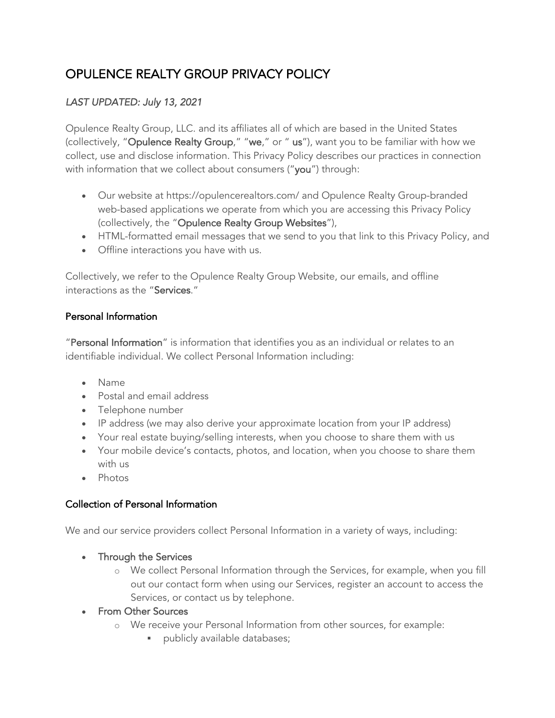# OPULENCE REALTY GROUP PRIVACY POLICY

# *LAST UPDATED: July 13, 2021*

Opulence Realty Group, LLC. and its affiliates all of which are based in the United States (collectively, "Opulence Realty Group," "we," or " us"), want you to be familiar with how we collect, use and disclose information. This Privacy Policy describes our practices in connection with information that we collect about consumers ("you") through:

- Our website at https://opulencerealtors.com/ and Opulence Realty Group-branded web-based applications we operate from which you are accessing this Privacy Policy (collectively, the "Opulence Realty Group Websites"),
- HTML-formatted email messages that we send to you that link to this Privacy Policy, and
- Offline interactions you have with us.

Collectively, we refer to the Opulence Realty Group Website, our emails, and offline interactions as the "Services."

#### Personal Information

"Personal Information" is information that identifies you as an individual or relates to an identifiable individual. We collect Personal Information including:

- Name
- Postal and email address
- Telephone number
- IP address (we may also derive your approximate location from your IP address)
- Your real estate buying/selling interests, when you choose to share them with us
- Your mobile device's contacts, photos, and location, when you choose to share them with us
- Photos

## Collection of Personal Information

We and our service providers collect Personal Information in a variety of ways, including:

- Through the Services
	- o We collect Personal Information through the Services, for example, when you fill out our contact form when using our Services, register an account to access the Services, or contact us by telephone.
- From Other Sources
	- o We receive your Personal Information from other sources, for example:
		- **•** publicly available databases;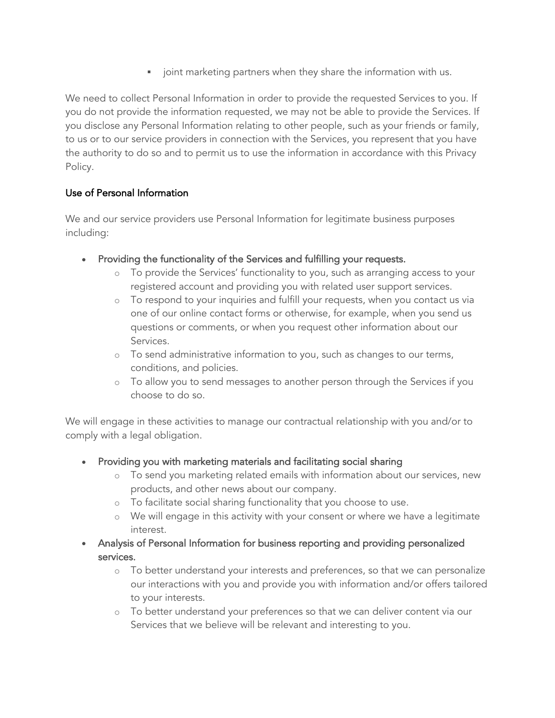• joint marketing partners when they share the information with us.

We need to collect Personal Information in order to provide the requested Services to you. If you do not provide the information requested, we may not be able to provide the Services. If you disclose any Personal Information relating to other people, such as your friends or family, to us or to our service providers in connection with the Services, you represent that you have the authority to do so and to permit us to use the information in accordance with this Privacy Policy.

## Use of Personal Information

We and our service providers use Personal Information for legitimate business purposes including:

- Providing the functionality of the Services and fulfilling your requests.
	- o To provide the Services' functionality to you, such as arranging access to your registered account and providing you with related user support services.
	- o To respond to your inquiries and fulfill your requests, when you contact us via one of our online contact forms or otherwise, for example, when you send us questions or comments, or when you request other information about our Services.
	- o To send administrative information to you, such as changes to our terms, conditions, and policies.
	- o To allow you to send messages to another person through the Services if you choose to do so.

We will engage in these activities to manage our contractual relationship with you and/or to comply with a legal obligation.

- Providing you with marketing materials and facilitating social sharing
	- o To send you marketing related emails with information about our services, new products, and other news about our company.
	- o To facilitate social sharing functionality that you choose to use.
	- o We will engage in this activity with your consent or where we have a legitimate interest.
- Analysis of Personal Information for business reporting and providing personalized services.
	- o To better understand your interests and preferences, so that we can personalize our interactions with you and provide you with information and/or offers tailored to your interests.
	- o To better understand your preferences so that we can deliver content via our Services that we believe will be relevant and interesting to you.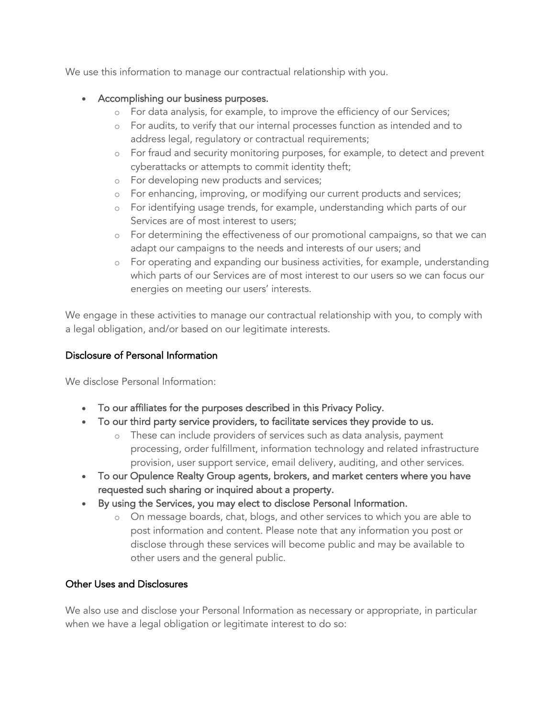We use this information to manage our contractual relationship with you.

#### • Accomplishing our business purposes.

- o For data analysis, for example, to improve the efficiency of our Services;
- o For audits, to verify that our internal processes function as intended and to address legal, regulatory or contractual requirements;
- o For fraud and security monitoring purposes, for example, to detect and prevent cyberattacks or attempts to commit identity theft;
- o For developing new products and services;
- o For enhancing, improving, or modifying our current products and services;
- o For identifying usage trends, for example, understanding which parts of our Services are of most interest to users;
- o For determining the effectiveness of our promotional campaigns, so that we can adapt our campaigns to the needs and interests of our users; and
- o For operating and expanding our business activities, for example, understanding which parts of our Services are of most interest to our users so we can focus our energies on meeting our users' interests.

We engage in these activities to manage our contractual relationship with you, to comply with a legal obligation, and/or based on our legitimate interests.

#### Disclosure of Personal Information

We disclose Personal Information:

- To our affiliates for the purposes described in this Privacy Policy.
- To our third party service providers, to facilitate services they provide to us.
	- o These can include providers of services such as data analysis, payment processing, order fulfillment, information technology and related infrastructure provision, user support service, email delivery, auditing, and other services.
- To our Opulence Realty Group agents, brokers, and market centers where you have requested such sharing or inquired about a property.
- By using the Services, you may elect to disclose Personal Information.
	- o On message boards, chat, blogs, and other services to which you are able to post information and content. Please note that any information you post or disclose through these services will become public and may be available to other users and the general public.

#### Other Uses and Disclosures

We also use and disclose your Personal Information as necessary or appropriate, in particular when we have a legal obligation or legitimate interest to do so: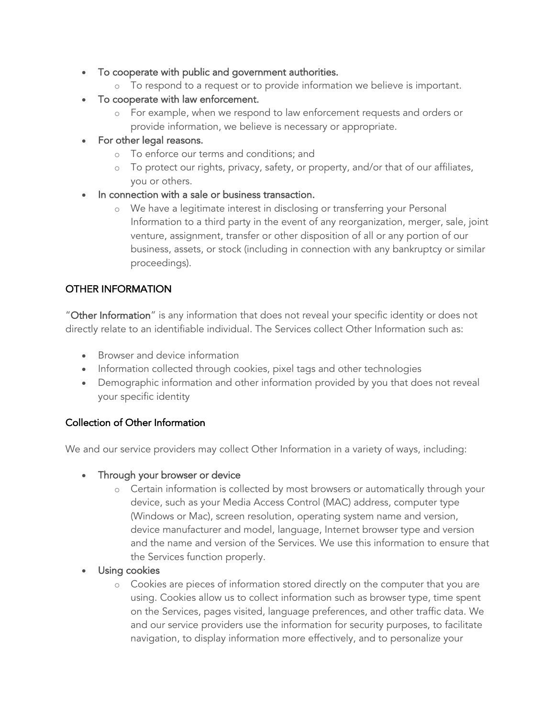- To cooperate with public and government authorities.
	- o To respond to a request or to provide information we believe is important.
- To cooperate with law enforcement.
	- o For example, when we respond to law enforcement requests and orders or provide information, we believe is necessary or appropriate.
- For other legal reasons.
	- o To enforce our terms and conditions; and
	- o To protect our rights, privacy, safety, or property, and/or that of our affiliates, you or others.
- In connection with a sale or business transaction.
	- o We have a legitimate interest in disclosing or transferring your Personal Information to a third party in the event of any reorganization, merger, sale, joint venture, assignment, transfer or other disposition of all or any portion of our business, assets, or stock (including in connection with any bankruptcy or similar proceedings).

#### OTHER INFORMATION

"Other Information" is any information that does not reveal your specific identity or does not directly relate to an identifiable individual. The Services collect Other Information such as:

- Browser and device information
- Information collected through cookies, pixel tags and other technologies
- Demographic information and other information provided by you that does not reveal your specific identity

#### Collection of Other Information

We and our service providers may collect Other Information in a variety of ways, including:

- Through your browser or device
	- o Certain information is collected by most browsers or automatically through your device, such as your Media Access Control (MAC) address, computer type (Windows or Mac), screen resolution, operating system name and version, device manufacturer and model, language, Internet browser type and version and the name and version of the Services. We use this information to ensure that the Services function properly.
- Using cookies
	- o Cookies are pieces of information stored directly on the computer that you are using. Cookies allow us to collect information such as browser type, time spent on the Services, pages visited, language preferences, and other traffic data. We and our service providers use the information for security purposes, to facilitate navigation, to display information more effectively, and to personalize your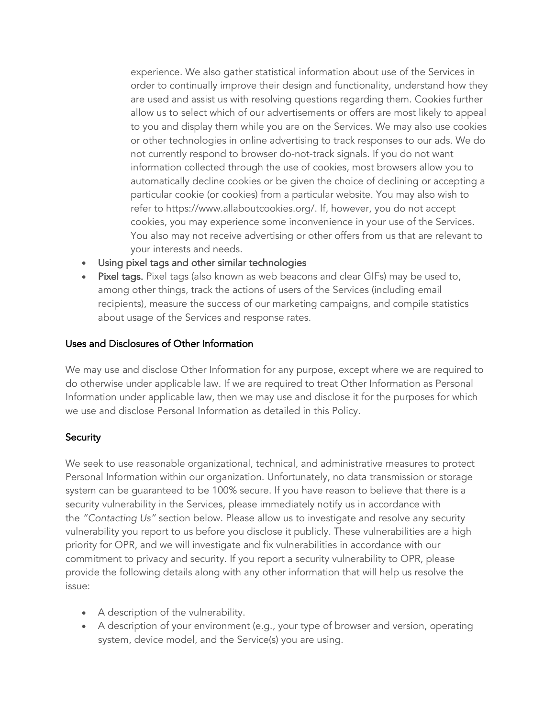experience. We also gather statistical information about use of the Services in order to continually improve their design and functionality, understand how they are used and assist us with resolving questions regarding them. Cookies further allow us to select which of our advertisements or offers are most likely to appeal to you and display them while you are on the Services. We may also use cookies or other technologies in online advertising to track responses to our ads. We do not currently respond to browser do-not-track signals. If you do not want information collected through the use of cookies, most browsers allow you to automatically decline cookies or be given the choice of declining or accepting a particular cookie (or cookies) from a particular website. You may also wish to refer to https://www.allaboutcookies.org/. If, however, you do not accept cookies, you may experience some inconvenience in your use of the Services. You also may not receive advertising or other offers from us that are relevant to your interests and needs.

- Using pixel tags and other similar technologies
- Pixel tags. Pixel tags (also known as web beacons and clear GIFs) may be used to, among other things, track the actions of users of the Services (including email recipients), measure the success of our marketing campaigns, and compile statistics about usage of the Services and response rates.

#### Uses and Disclosures of Other Information

We may use and disclose Other Information for any purpose, except where we are required to do otherwise under applicable law. If we are required to treat Other Information as Personal Information under applicable law, then we may use and disclose it for the purposes for which we use and disclose Personal Information as detailed in this Policy.

#### **Security**

We seek to use reasonable organizational, technical, and administrative measures to protect Personal Information within our organization. Unfortunately, no data transmission or storage system can be guaranteed to be 100% secure. If you have reason to believe that there is a security vulnerability in the Services, please immediately notify us in accordance with the *"Contacting Us"* section below. Please allow us to investigate and resolve any security vulnerability you report to us before you disclose it publicly. These vulnerabilities are a high priority for OPR, and we will investigate and fix vulnerabilities in accordance with our commitment to privacy and security. If you report a security vulnerability to OPR, please provide the following details along with any other information that will help us resolve the issue:

- A description of the vulnerability.
- A description of your environment (e.g., your type of browser and version, operating system, device model, and the Service(s) you are using.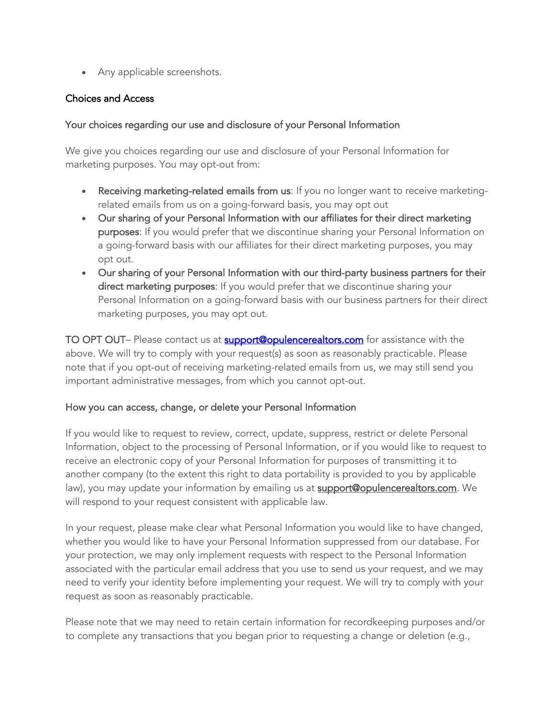• Any applicable screenshots.

#### Choices and Access

#### Your choices regarding our use and disclosure of your Personal Information

We give you choices regarding our use and disclosure of your Personal Information for marketing purposes. You may opt-out from:

- Receiving marketing-related emails from us: If you no longer want to receive marketingrelated emails from us on a going-forward basis, you may opt out
- Our sharing of your Personal Information with our affiliates for their direct marketing purposes: If you would prefer that we discontinue sharing your Personal Information on a going-forward basis with our affiliates for their direct marketing purposes, you may opt out.
- Our sharing of your Personal Information with our third-party business partners for their direct marketing purposes: If you would prefer that we discontinue sharing your Personal Information on a going-forward basis with our business partners for their direct marketing purposes, you may opt out.

TO OPT OUT- Please contact us at **support@opulencerealtors.com** for assistance with the above. We will try to comply with your request(s) as soon as reasonably practicable. Please note that if you opt-out of receiving marketing-related emails from us, we may still send you important administrative messages, from which you cannot opt-out.

#### How you can access, change, or delete your Personal Information

If you would like to request to review, correct, update, suppress, restrict or delete Personal Information, object to the processing of Personal Information, or if you would like to request to receive an electronic copy of your Personal Information for purposes of transmitting it to another company (to the extent this right to data portability is provided to you by applicable law), you may update your information by emailing us at **support@opulencerealtors.com**. We will respond to your request consistent with applicable law.

In your request, please make clear what Personal Information you would like to have changed, whether you would like to have your Personal Information suppressed from our database. For your protection, we may only implement requests with respect to the Personal Information associated with the particular email address that you use to send us your request, and we may need to verify your identity before implementing your request. We will try to comply with your request as soon as reasonably practicable.

Please note that we may need to retain certain information for recordkeeping purposes and/or to complete any transactions that you began prior to requesting a change or deletion (e.g.,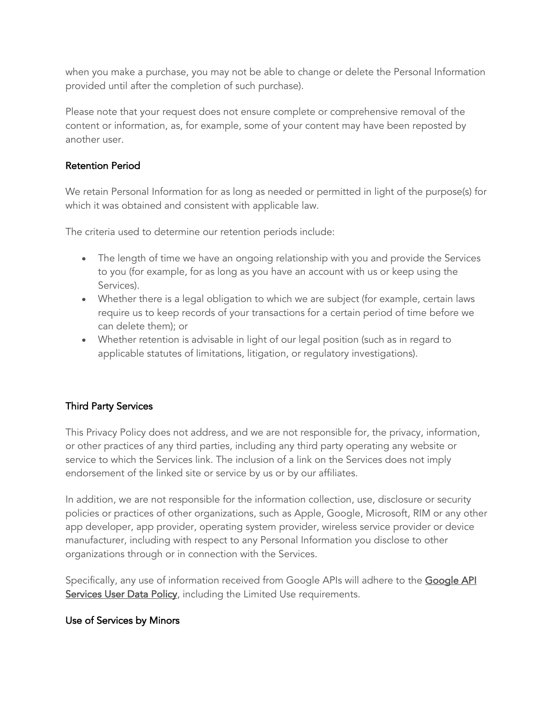when you make a purchase, you may not be able to change or delete the Personal Information provided until after the completion of such purchase).

Please note that your request does not ensure complete or comprehensive removal of the content or information, as, for example, some of your content may have been reposted by another user.

#### Retention Period

We retain Personal Information for as long as needed or permitted in light of the purpose(s) for which it was obtained and consistent with applicable law.

The criteria used to determine our retention periods include:

- The length of time we have an ongoing relationship with you and provide the Services to you (for example, for as long as you have an account with us or keep using the Services).
- Whether there is a legal obligation to which we are subject (for example, certain laws require us to keep records of your transactions for a certain period of time before we can delete them); or
- Whether retention is advisable in light of our legal position (such as in regard to applicable statutes of limitations, litigation, or regulatory investigations).

## Third Party Services

This Privacy Policy does not address, and we are not responsible for, the privacy, information, or other practices of any third parties, including any third party operating any website or service to which the Services link. The inclusion of a link on the Services does not imply endorsement of the linked site or service by us or by our affiliates.

In addition, we are not responsible for the information collection, use, disclosure or security policies or practices of other organizations, such as Apple, Google, Microsoft, RIM or any other app developer, app provider, operating system provider, wireless service provider or device manufacturer, including with respect to any Personal Information you disclose to other organizations through or in connection with the Services.

Specifically, any use of information received from Google APIs will adhere to the Google API Services User Data Policy, including the Limited Use requirements.

## Use of Services by Minors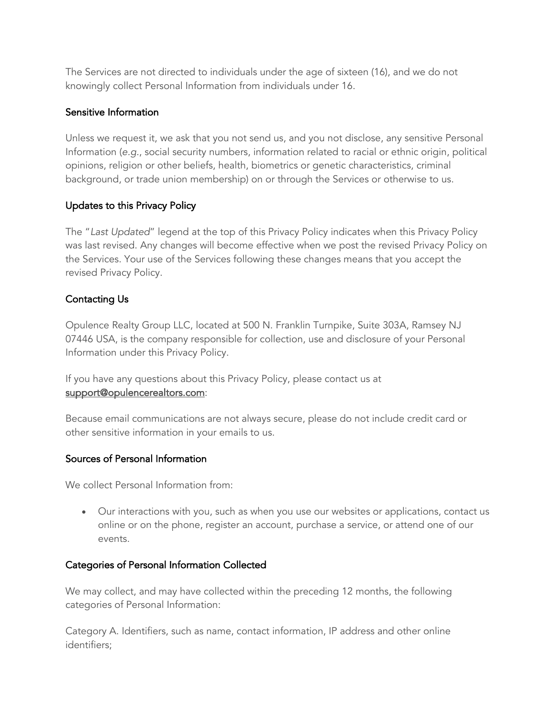The Services are not directed to individuals under the age of sixteen (16), and we do not knowingly collect Personal Information from individuals under 16.

#### Sensitive Information

Unless we request it, we ask that you not send us, and you not disclose, any sensitive Personal Information (*e.g.*, social security numbers, information related to racial or ethnic origin, political opinions, religion or other beliefs, health, biometrics or genetic characteristics, criminal background, or trade union membership) on or through the Services or otherwise to us.

## Updates to this Privacy Policy

The "*Last Updated*" legend at the top of this Privacy Policy indicates when this Privacy Policy was last revised. Any changes will become effective when we post the revised Privacy Policy on the Services. Your use of the Services following these changes means that you accept the revised Privacy Policy.

## Contacting Us

Opulence Realty Group LLC, located at 500 N. Franklin Turnpike, Suite 303A, Ramsey NJ 07446 USA, is the company responsible for collection, use and disclosure of your Personal Information under this Privacy Policy.

If you have any questions about this Privacy Policy, please contact us at support@opulencerealtors.com:

Because email communications are not always secure, please do not include credit card or other sensitive information in your emails to us.

#### Sources of Personal Information

We collect Personal Information from:

• Our interactions with you, such as when you use our websites or applications, contact us online or on the phone, register an account, purchase a service, or attend one of our events.

#### Categories of Personal Information Collected

We may collect, and may have collected within the preceding 12 months, the following categories of Personal Information:

Category A. Identifiers, such as name, contact information, IP address and other online identifiers;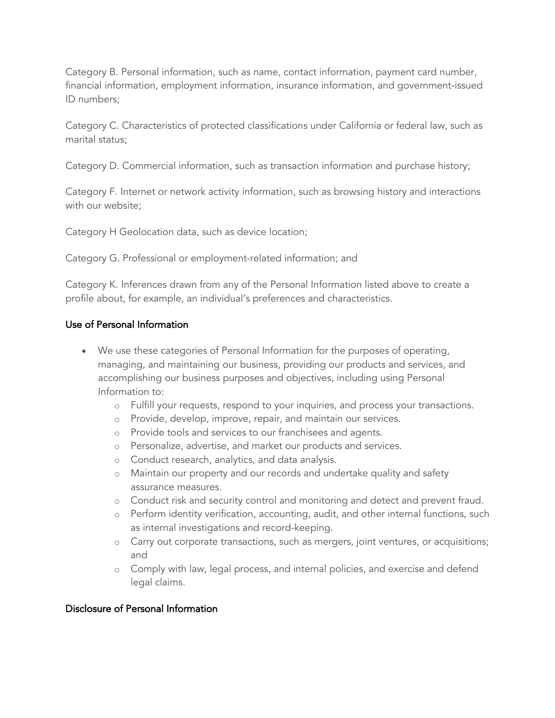Category B. Personal information, such as name, contact information, payment card number, financial information, employment information, insurance information, and government-issued ID numbers;

Category C. Characteristics of protected classifications under California or federal law, such as marital status;

Category D. Commercial information, such as transaction information and purchase history;

Category F. Internet or network activity information, such as browsing history and interactions with our website;

Category H Geolocation data, such as device location;

Category G. Professional or employment-related information; and

Category K. Inferences drawn from any of the Personal Information listed above to create a profile about, for example, an individual's preferences and characteristics.

#### Use of Personal Information

- We use these categories of Personal Information for the purposes of operating, managing, and maintaining our business, providing our products and services, and accomplishing our business purposes and objectives, including using Personal Information to:
	- o Fulfill your requests, respond to your inquiries, and process your transactions.
	- o Provide, develop, improve, repair, and maintain our services.
	- o Provide tools and services to our franchisees and agents.
	- o Personalize, advertise, and market our products and services.
	- o Conduct research, analytics, and data analysis.
	- o Maintain our property and our records and undertake quality and safety assurance measures.
	- o Conduct risk and security control and monitoring and detect and prevent fraud.
	- o Perform identity verification, accounting, audit, and other internal functions, such as internal investigations and record-keeping.
	- o Carry out corporate transactions, such as mergers, joint ventures, or acquisitions; and
	- o Comply with law, legal process, and internal policies, and exercise and defend legal claims.

#### Disclosure of Personal Information